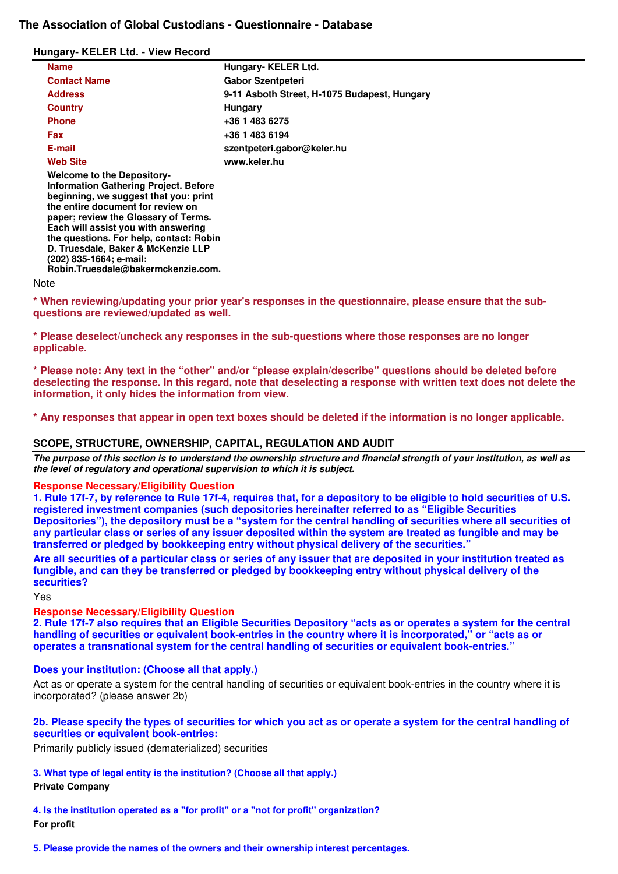# **The Association of Global Custodians - Questionnaire - Database**

### **Hungary- KELER Ltd. - View Record**

**D. Truesdale, Baker & McKenzie LLP** 

**Robin.Truesdale@bakermckenzie.com.** 

**(202) 835-1664; e-mail:** 

| <b>Name</b>                                                                                                                                                                                                                                                                               | Hungary-KELER Ltd.                           |
|-------------------------------------------------------------------------------------------------------------------------------------------------------------------------------------------------------------------------------------------------------------------------------------------|----------------------------------------------|
| <b>Contact Name</b>                                                                                                                                                                                                                                                                       | <b>Gabor Szentpeteri</b>                     |
| <b>Address</b>                                                                                                                                                                                                                                                                            | 9-11 Asboth Street, H-1075 Budapest, Hungary |
| <b>Country</b>                                                                                                                                                                                                                                                                            | Hungary                                      |
| <b>Phone</b>                                                                                                                                                                                                                                                                              | +36 1 483 6275                               |
| Fax                                                                                                                                                                                                                                                                                       | +36 1 483 6194                               |
| E-mail                                                                                                                                                                                                                                                                                    | szentpeteri.gabor@keler.hu                   |
| <b>Web Site</b>                                                                                                                                                                                                                                                                           | www.keler.hu                                 |
| <b>Welcome to the Depository-</b><br><b>Information Gathering Project. Before</b><br>beginning, we suggest that you: print<br>the entire document for review on<br>paper; review the Glossary of Terms.<br>Each will assist you with answering<br>the questions. For help, contact: Robin |                                              |

#### **Note**

**\* When reviewing/updating your prior year's responses in the questionnaire, please ensure that the subquestions are reviewed/updated as well.** 

**\* Please deselect/uncheck any responses in the sub-questions where those responses are no longer applicable.** 

**\* Please note: Any text in the "other" and/or "please explain/describe" questions should be deleted before deselecting the response. In this regard, note that deselecting a response with written text does not delete the information, it only hides the information from view.** 

**\* Any responses that appear in open text boxes should be deleted if the information is no longer applicable.**

# **SCOPE, STRUCTURE, OWNERSHIP, CAPITAL, REGULATION AND AUDIT**

*The purpose of this section is to understand the ownership structure and financial strength of your institution, as well as the level of regulatory and operational supervision to which it is subject.*

## **Response Necessary/Eligibility Question**

**1. Rule 17f-7, by reference to Rule 17f-4, requires that, for a depository to be eligible to hold securities of U.S. registered investment companies (such depositories hereinafter referred to as "Eligible Securities Depositories"), the depository must be a "system for the central handling of securities where all securities of any particular class or series of any issuer deposited within the system are treated as fungible and may be transferred or pledged by bookkeeping entry without physical delivery of the securities."**

**Are all securities of a particular class or series of any issuer that are deposited in your institution treated as fungible, and can they be transferred or pledged by bookkeeping entry without physical delivery of the securities?**

Yes

**Response Necessary/Eligibility Question** 

**2. Rule 17f-7 also requires that an Eligible Securities Depository "acts as or operates a system for the central handling of securities or equivalent book-entries in the country where it is incorporated," or "acts as or operates a transnational system for the central handling of securities or equivalent book-entries."** 

## **Does your institution: (Choose all that apply.)**

Act as or operate a system for the central handling of securities or equivalent book-entries in the country where it is incorporated? (please answer 2b)

## **2b. Please specify the types of securities for which you act as or operate a system for the central handling of securities or equivalent book-entries:**

Primarily publicly issued (dematerialized) securities

**3. What type of legal entity is the institution? (Choose all that apply.)**

## **Private Company**

**4. Is the institution operated as a "for profit" or a "not for profit" organization? For profit** 

**5. Please provide the names of the owners and their ownership interest percentages.**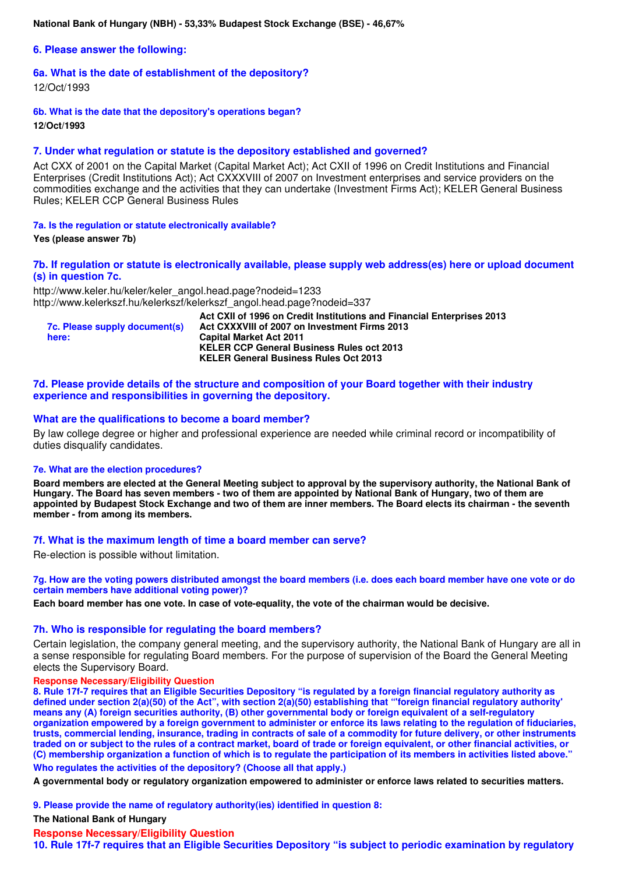**National Bank of Hungary (NBH) - 53,33% Budapest Stock Exchange (BSE) - 46,67%** 

**6. Please answer the following:** 

## **6a. What is the date of establishment of the depository?**

12/Oct/1993

**6b. What is the date that the depository's operations began? 12/Oct/1993** 

## **7. Under what regulation or statute is the depository established and governed?**

Act CXX of 2001 on the Capital Market (Capital Market Act); Act CXII of 1996 on Credit Institutions and Financial Enterprises (Credit Institutions Act); Act CXXXVIII of 2007 on Investment enterprises and service providers on the commodities exchange and the activities that they can undertake (Investment Firms Act); KELER General Business Rules; KELER CCP General Business Rules

### **7a. Is the regulation or statute electronically available?**

**Yes (please answer 7b)** 

## **7b. If regulation or statute is electronically available, please supply web address(es) here or upload document (s) in question 7c.**

http://www.keler.hu/keler/keler\_angol.head.page?nodeid=1233 http://www.kelerkszf.hu/kelerkszf/kelerkszf\_angol.head.page?nodeid=337

| 7c. Please supply document(s)<br>here: | Act CXII of 1996 on Credit Institutions and Financial Enterprises 2013<br>Act CXXXVIII of 2007 on Investment Firms 2013<br><b>Capital Market Act 2011</b> |
|----------------------------------------|-----------------------------------------------------------------------------------------------------------------------------------------------------------|
|                                        | <b>KELER CCP General Business Rules oct 2013</b>                                                                                                          |
|                                        | <b>KELER General Business Rules Oct 2013</b>                                                                                                              |

### **7d. Please provide details of the structure and composition of your Board together with their industry experience and responsibilities in governing the depository.**

### **What are the qualifications to become a board member?**

By law college degree or higher and professional experience are needed while criminal record or incompatibility of duties disqualify candidates.

#### **7e. What are the election procedures?**

**Board members are elected at the General Meeting subject to approval by the supervisory authority, the National Bank of Hungary. The Board has seven members - two of them are appointed by National Bank of Hungary, two of them are appointed by Budapest Stock Exchange and two of them are inner members. The Board elects its chairman - the seventh member - from among its members.** 

## **7f. What is the maximum length of time a board member can serve?**

Re-election is possible without limitation.

**7g. How are the voting powers distributed amongst the board members (i.e. does each board member have one vote or do certain members have additional voting power)?**

**Each board member has one vote. In case of vote-equality, the vote of the chairman would be decisive.** 

## **7h. Who is responsible for regulating the board members?**

Certain legislation, the company general meeting, and the supervisory authority, the National Bank of Hungary are all in a sense responsible for regulating Board members. For the purpose of supervision of the Board the General Meeting elects the Supervisory Board.

#### **Response Necessary/Eligibility Question**

**8. Rule 17f-7 requires that an Eligible Securities Depository "is regulated by a foreign financial regulatory authority as defined under section 2(a)(50) of the Act", with section 2(a)(50) establishing that "'foreign financial regulatory authority' means any (A) foreign securities authority, (B) other governmental body or foreign equivalent of a self-regulatory organization empowered by a foreign government to administer or enforce its laws relating to the regulation of fiduciaries, trusts, commercial lending, insurance, trading in contracts of sale of a commodity for future delivery, or other instruments traded on or subject to the rules of a contract market, board of trade or foreign equivalent, or other financial activities, or (C) membership organization a function of which is to regulate the participation of its members in activities listed above."**

**Who regulates the activities of the depository? (Choose all that apply.)**

**A governmental body or regulatory organization empowered to administer or enforce laws related to securities matters.** 

**9. Please provide the name of regulatory authority(ies) identified in question 8:**

**The National Bank of Hungary** 

#### **Response Necessary/Eligibility Question**

**10. Rule 17f-7 requires that an Eligible Securities Depository "is subject to periodic examination by regulatory**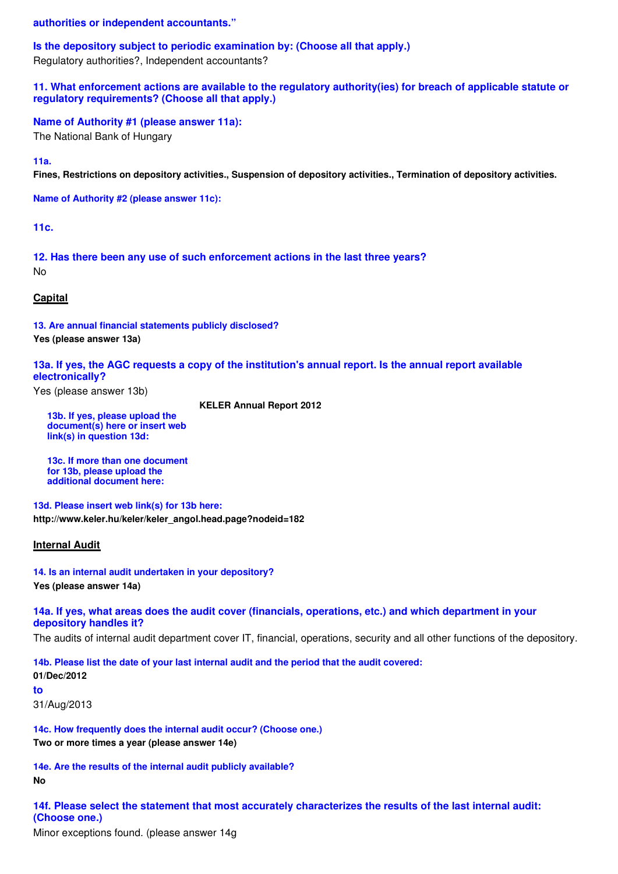**authorities or independent accountants."** 

**Is the depository subject to periodic examination by: (Choose all that apply.)**

Regulatory authorities?, Independent accountants?

**11. What enforcement actions are available to the regulatory authority(ies) for breach of applicable statute or regulatory requirements? (Choose all that apply.)** 

**Name of Authority #1 (please answer 11a):**

The National Bank of Hungary

**11a.**

**Fines, Restrictions on depository activities., Suspension of depository activities., Termination of depository activities.** 

**Name of Authority #2 (please answer 11c):**

**11c.**

**12. Has there been any use of such enforcement actions in the last three years?** No

**Capital**

**13. Are annual financial statements publicly disclosed? Yes (please answer 13a)** 

**13a. If yes, the AGC requests a copy of the institution's annual report. Is the annual report available electronically?**

Yes (please answer 13b)

**KELER Annual Report 2012** 

**13b. If yes, please upload the document(s) here or insert web link(s) in question 13d:**

**13c. If more than one document for 13b, please upload the additional document here:**

**13d. Please insert web link(s) for 13b here: http://www.keler.hu/keler/keler\_angol.head.page?nodeid=182** 

## **Internal Audit**

**14. Is an internal audit undertaken in your depository? Yes (please answer 14a)** 

**14a. If yes, what areas does the audit cover (financials, operations, etc.) and which department in your depository handles it?**

The audits of internal audit department cover IT, financial, operations, security and all other functions of the depository.

**14b. Please list the date of your last internal audit and the period that the audit covered: 01/Dec/2012 to**

31/Aug/2013

**14c. How frequently does the internal audit occur? (Choose one.) Two or more times a year (please answer 14e)** 

**14e. Are the results of the internal audit publicly available? No** 

**14f. Please select the statement that most accurately characterizes the results of the last internal audit: (Choose one.)**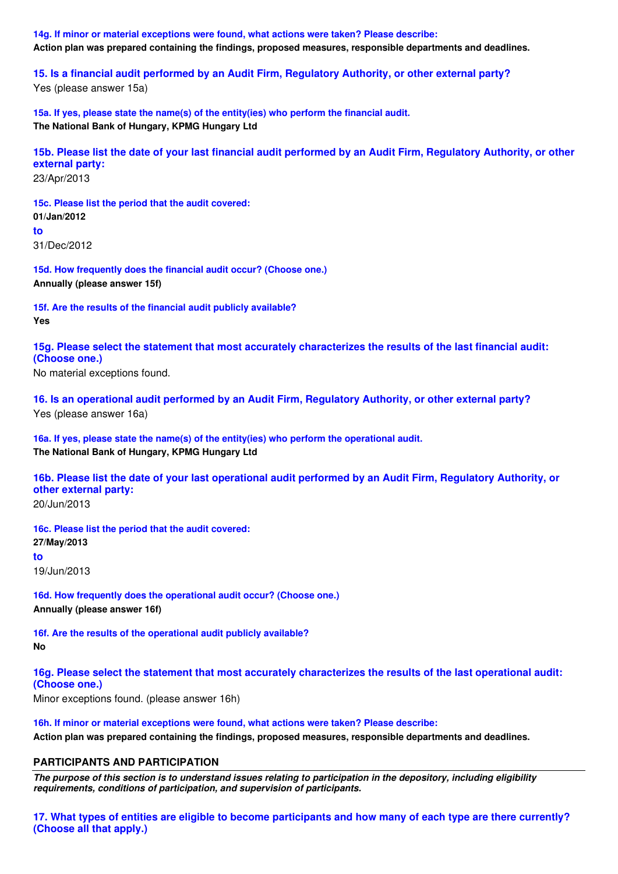**14g. If minor or material exceptions were found, what actions were taken? Please describe: Action plan was prepared containing the findings, proposed measures, responsible departments and deadlines.** 

**15. Is a financial audit performed by an Audit Firm, Regulatory Authority, or other external party?**

Yes (please answer 15a)

**15a. If yes, please state the name(s) of the entity(ies) who perform the financial audit. The National Bank of Hungary, KPMG Hungary Ltd** 

**15b. Please list the date of your last financial audit performed by an Audit Firm, Regulatory Authority, or other external party:** 23/Apr/2013

**15c. Please list the period that the audit covered: 01/Jan/2012 to** 31/Dec/2012

**15d. How frequently does the financial audit occur? (Choose one.) Annually (please answer 15f)** 

**15f. Are the results of the financial audit publicly available? Yes** 

**15g. Please select the statement that most accurately characterizes the results of the last financial audit: (Choose one.)**

No material exceptions found.

**16. Is an operational audit performed by an Audit Firm, Regulatory Authority, or other external party?** Yes (please answer 16a)

**16a. If yes, please state the name(s) of the entity(ies) who perform the operational audit. The National Bank of Hungary, KPMG Hungary Ltd** 

**16b. Please list the date of your last operational audit performed by an Audit Firm, Regulatory Authority, or other external party:**

20/Jun/2013

**16c. Please list the period that the audit covered: 27/May/2013 to** 19/Jun/2013

**16d. How frequently does the operational audit occur? (Choose one.) Annually (please answer 16f)** 

**16f. Are the results of the operational audit publicly available? No** 

**16g. Please select the statement that most accurately characterizes the results of the last operational audit: (Choose one.)**

Minor exceptions found. (please answer 16h)

**16h. If minor or material exceptions were found, what actions were taken? Please describe: Action plan was prepared containing the findings, proposed measures, responsible departments and deadlines.** 

# **PARTICIPANTS AND PARTICIPATION**

*The purpose of this section is to understand issues relating to participation in the depository, including eligibility requirements, conditions of participation, and supervision of participants.*

**17. What types of entities are eligible to become participants and how many of each type are there currently? (Choose all that apply.)**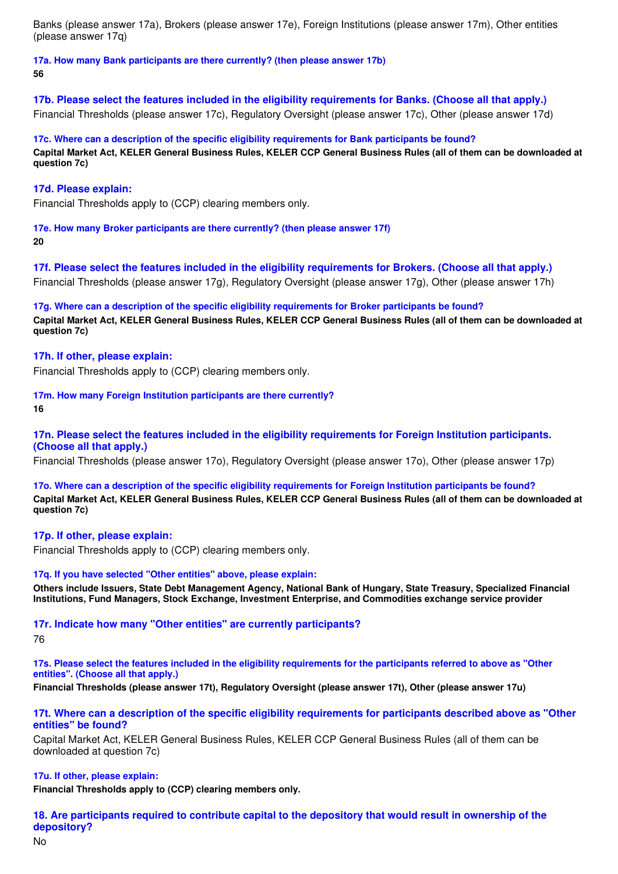Banks (please answer 17a), Brokers (please answer 17e), Foreign Institutions (please answer 17m), Other entities (please answer 17q)

**17a. How many Bank participants are there currently? (then please answer 17b) 56** 

**17b. Please select the features included in the eligibility requirements for Banks. (Choose all that apply.)** Financial Thresholds (please answer 17c), Regulatory Oversight (please answer 17c), Other (please answer 17d)

**17c. Where can a description of the specific eligibility requirements for Bank participants be found? Capital Market Act, KELER General Business Rules, KELER CCP General Business Rules (all of them can be downloaded at question 7c)** 

## **17d. Please explain:**

Financial Thresholds apply to (CCP) clearing members only.

**17e. How many Broker participants are there currently? (then please answer 17f) 20** 

**17f. Please select the features included in the eligibility requirements for Brokers. (Choose all that apply.)** Financial Thresholds (please answer 17g), Regulatory Oversight (please answer 17g), Other (please answer 17h)

**17g. Where can a description of the specific eligibility requirements for Broker participants be found? Capital Market Act, KELER General Business Rules, KELER CCP General Business Rules (all of them can be downloaded at question 7c)** 

## **17h. If other, please explain:**

Financial Thresholds apply to (CCP) clearing members only.

**17m. How many Foreign Institution participants are there currently?**

**16** 

**17n. Please select the features included in the eligibility requirements for Foreign Institution participants. (Choose all that apply.)**

Financial Thresholds (please answer 17o), Regulatory Oversight (please answer 17o), Other (please answer 17p)

**17o. Where can a description of the specific eligibility requirements for Foreign Institution participants be found? Capital Market Act, KELER General Business Rules, KELER CCP General Business Rules (all of them can be downloaded at question 7c)** 

# **17p. If other, please explain:**

Financial Thresholds apply to (CCP) clearing members only.

## **17q. If you have selected "Other entities" above, please explain:**

**Others include Issuers, State Debt Management Agency, National Bank of Hungary, State Treasury, Specialized Financial Institutions, Fund Managers, Stock Exchange, Investment Enterprise, and Commodities exchange service provider** 

## **17r. Indicate how many "Other entities" are currently participants?**

76

**17s. Please select the features included in the eligibility requirements for the participants referred to above as "Other entities". (Choose all that apply.)**

**Financial Thresholds (please answer 17t), Regulatory Oversight (please answer 17t), Other (please answer 17u)** 

## **17t. Where can a description of the specific eligibility requirements for participants described above as "Other entities" be found?**

Capital Market Act, KELER General Business Rules, KELER CCP General Business Rules (all of them can be downloaded at question 7c)

## **17u. If other, please explain:**

**Financial Thresholds apply to (CCP) clearing members only.** 

**18. Are participants required to contribute capital to the depository that would result in ownership of the depository?**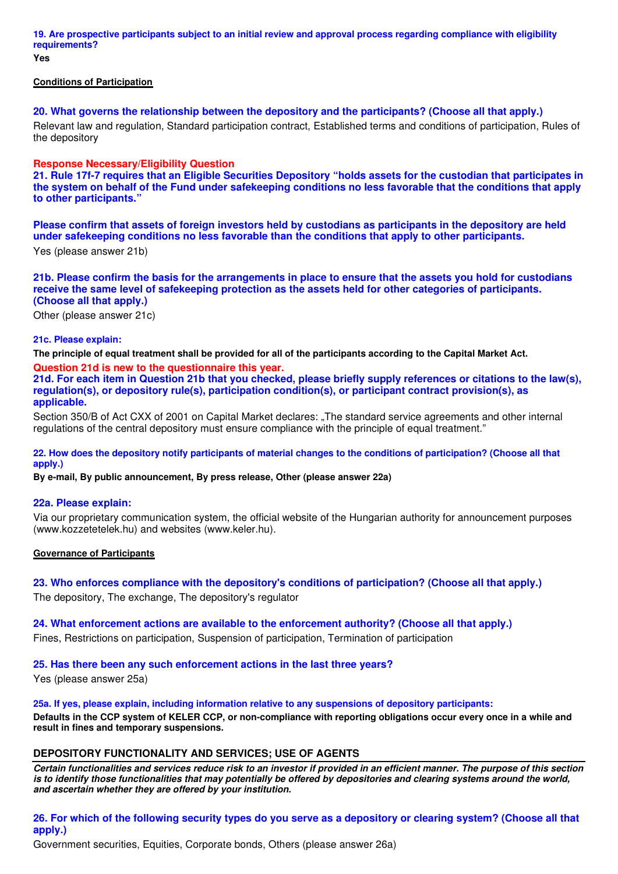**19. Are prospective participants subject to an initial review and approval process regarding compliance with eligibility requirements?**

**Yes** 

## **Conditions of Participation**

**20. What governs the relationship between the depository and the participants? (Choose all that apply.)** Relevant law and regulation, Standard participation contract, Established terms and conditions of participation, Rules of the depository

## **Response Necessary/Eligibility Question**

**21. Rule 17f-7 requires that an Eligible Securities Depository "holds assets for the custodian that participates in the system on behalf of the Fund under safekeeping conditions no less favorable that the conditions that apply to other participants."**

**Please confirm that assets of foreign investors held by custodians as participants in the depository are held under safekeeping conditions no less favorable than the conditions that apply to other participants.**

Yes (please answer 21b)

# **21b. Please confirm the basis for the arrangements in place to ensure that the assets you hold for custodians receive the same level of safekeeping protection as the assets held for other categories of participants. (Choose all that apply.)**

Other (please answer 21c)

## **21c. Please explain:**

**The principle of equal treatment shall be provided for all of the participants according to the Capital Market Act.** 

**Question 21d is new to the questionnaire this year.**

**21d. For each item in Question 21b that you checked, please briefly supply references or citations to the law(s), regulation(s), or depository rule(s), participation condition(s), or participant contract provision(s), as applicable.** 

Section 350/B of Act CXX of 2001 on Capital Market declares: The standard service agreements and other internal regulations of the central depository must ensure compliance with the principle of equal treatment."

**22. How does the depository notify participants of material changes to the conditions of participation? (Choose all that apply.)**

**By e-mail, By public announcement, By press release, Other (please answer 22a)** 

## **22a. Please explain:**

Via our proprietary communication system, the official website of the Hungarian authority for announcement purposes (www.kozzetetelek.hu) and websites (www.keler.hu).

## **Governance of Participants**

**23. Who enforces compliance with the depository's conditions of participation? (Choose all that apply.)** The depository, The exchange, The depository's regulator

# **24. What enforcement actions are available to the enforcement authority? (Choose all that apply.)**

Fines, Restrictions on participation, Suspension of participation, Termination of participation

# **25. Has there been any such enforcement actions in the last three years?**

Yes (please answer 25a)

**25a. If yes, please explain, including information relative to any suspensions of depository participants: Defaults in the CCP system of KELER CCP, or non-compliance with reporting obligations occur every once in a while and result in fines and temporary suspensions.** 

# **DEPOSITORY FUNCTIONALITY AND SERVICES; USE OF AGENTS**

*Certain functionalities and services reduce risk to an investor if provided in an efficient manner. The purpose of this section is to identify those functionalities that may potentially be offered by depositories and clearing systems around the world, and ascertain whether they are offered by your institution.*

# **26. For which of the following security types do you serve as a depository or clearing system? (Choose all that apply.)**

Government securities, Equities, Corporate bonds, Others (please answer 26a)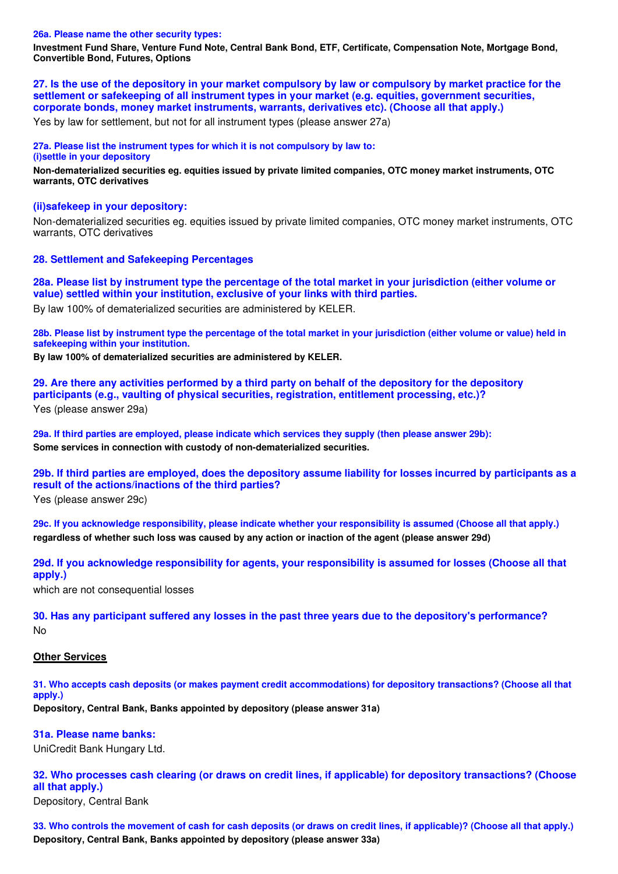#### **26a. Please name the other security types:**

**Investment Fund Share, Venture Fund Note, Central Bank Bond, ETF, Certificate, Compensation Note, Mortgage Bond, Convertible Bond, Futures, Options** 

**27. Is the use of the depository in your market compulsory by law or compulsory by market practice for the settlement or safekeeping of all instrument types in your market (e.g. equities, government securities, corporate bonds, money market instruments, warrants, derivatives etc). (Choose all that apply.)**

Yes by law for settlement, but not for all instrument types (please answer 27a)

**27a. Please list the instrument types for which it is not compulsory by law to:** 

**(i)settle in your depository**

**Non-dematerialized securities eg. equities issued by private limited companies, OTC money market instruments, OTC warrants, OTC derivatives** 

### **(ii)safekeep in your depository:**

Non-dematerialized securities eg. equities issued by private limited companies, OTC money market instruments, OTC warrants, OTC derivatives

### **28. Settlement and Safekeeping Percentages**

**28a. Please list by instrument type the percentage of the total market in your jurisdiction (either volume or value) settled within your institution, exclusive of your links with third parties.**

By law 100% of dematerialized securities are administered by KELER.

**28b. Please list by instrument type the percentage of the total market in your jurisdiction (either volume or value) held in safekeeping within your institution.**

**By law 100% of dematerialized securities are administered by KELER.** 

**29. Are there any activities performed by a third party on behalf of the depository for the depository participants (e.g., vaulting of physical securities, registration, entitlement processing, etc.)?** Yes (please answer 29a)

**29a. If third parties are employed, please indicate which services they supply (then please answer 29b): Some services in connection with custody of non-dematerialized securities.** 

**29b. If third parties are employed, does the depository assume liability for losses incurred by participants as a result of the actions/inactions of the third parties?**

Yes (please answer 29c)

**29c. If you acknowledge responsibility, please indicate whether your responsibility is assumed (Choose all that apply.) regardless of whether such loss was caused by any action or inaction of the agent (please answer 29d)** 

**29d. If you acknowledge responsibility for agents, your responsibility is assumed for losses (Choose all that apply.)**

which are not consequential losses

**30. Has any participant suffered any losses in the past three years due to the depository's performance?** No

### **Other Services**

**31. Who accepts cash deposits (or makes payment credit accommodations) for depository transactions? (Choose all that apply.)**

**Depository, Central Bank, Banks appointed by depository (please answer 31a)** 

# **31a. Please name banks:**

UniCredit Bank Hungary Ltd.

**32. Who processes cash clearing (or draws on credit lines, if applicable) for depository transactions? (Choose all that apply.)**

Depository, Central Bank

**33. Who controls the movement of cash for cash deposits (or draws on credit lines, if applicable)? (Choose all that apply.) Depository, Central Bank, Banks appointed by depository (please answer 33a)**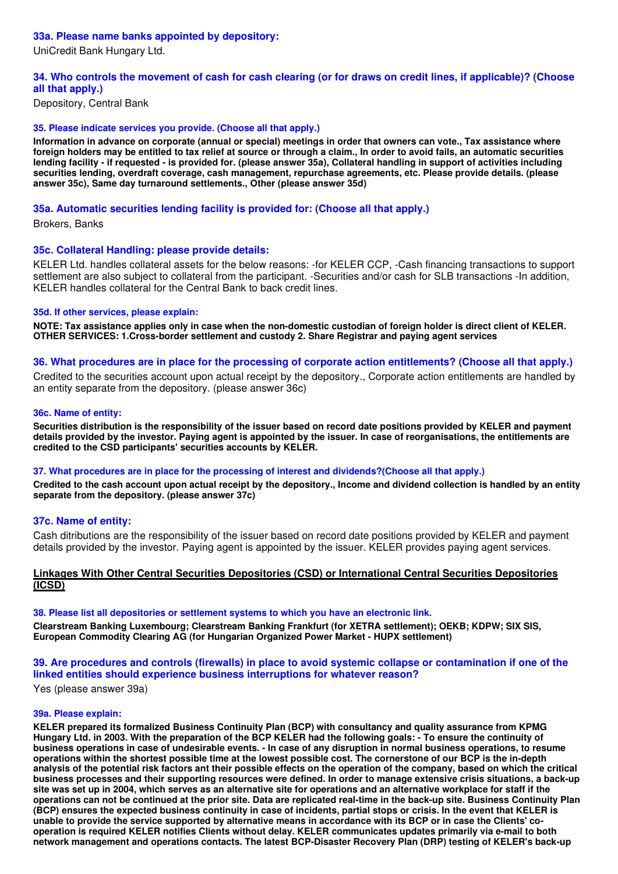# **33a. Please name banks appointed by depository:**

UniCredit Bank Hungary Ltd.

# **34. Who controls the movement of cash for cash clearing (or for draws on credit lines, if applicable)? (Choose all that apply.)**

Depository, Central Bank

# **35. Please indicate services you provide. (Choose all that apply.)**

**Information in advance on corporate (annual or special) meetings in order that owners can vote., Tax assistance where foreign holders may be entitled to tax relief at source or through a claim., In order to avoid fails, an automatic securities lending facility - if requested - is provided for. (please answer 35a), Collateral handling in support of activities including securities lending, overdraft coverage, cash management, repurchase agreements, etc. Please provide details. (please answer 35c), Same day turnaround settlements., Other (please answer 35d)** 

# **35a. Automatic securities lending facility is provided for: (Choose all that apply.)**

Brokers, Banks

# **35c. Collateral Handling: please provide details:**

KELER Ltd. handles collateral assets for the below reasons: -for KELER CCP, -Cash financing transactions to support settlement are also subject to collateral from the participant. -Securities and/or cash for SLB transactions -In addition, KELER handles collateral for the Central Bank to back credit lines.

## **35d. If other services, please explain:**

**NOTE: Tax assistance applies only in case when the non-domestic custodian of foreign holder is direct client of KELER. OTHER SERVICES: 1.Cross-border settlement and custody 2. Share Registrar and paying agent services** 

## **36. What procedures are in place for the processing of corporate action entitlements? (Choose all that apply.)**

Credited to the securities account upon actual receipt by the depository., Corporate action entitlements are handled by an entity separate from the depository. (please answer 36c)

## **36c. Name of entity:**

**Securities distribution is the responsibility of the issuer based on record date positions provided by KELER and payment details provided by the investor. Paying agent is appointed by the issuer. In case of reorganisations, the entitlements are credited to the CSD participants' securities accounts by KELER.** 

## **37. What procedures are in place for the processing of interest and dividends?(Choose all that apply.)**

**Credited to the cash account upon actual receipt by the depository., Income and dividend collection is handled by an entity separate from the depository. (please answer 37c)** 

## **37c. Name of entity:**

Cash ditributions are the responsibility of the issuer based on record date positions provided by KELER and payment details provided by the investor. Paying agent is appointed by the issuer. KELER provides paying agent services.

# **Linkages With Other Central Securities Depositories (CSD) or International Central Securities Depositories (ICSD)**

## **38. Please list all depositories or settlement systems to which you have an electronic link.**

**Clearstream Banking Luxembourg; Clearstream Banking Frankfurt (for XETRA settlement); OEKB; KDPW; SIX SIS, European Commodity Clearing AG (for Hungarian Organized Power Market - HUPX settlement)** 

# **39. Are procedures and controls (firewalls) in place to avoid systemic collapse or contamination if one of the linked entities should experience business interruptions for whatever reason?**

Yes (please answer 39a)

## **39a. Please explain:**

**KELER prepared its formalized Business Continuity Plan (BCP) with consultancy and quality assurance from KPMG Hungary Ltd. in 2003. With the preparation of the BCP KELER had the following goals: - To ensure the continuity of business operations in case of undesirable events. - In case of any disruption in normal business operations, to resume operations within the shortest possible time at the lowest possible cost. The cornerstone of our BCP is the in-depth analysis of the potential risk factors ant their possible effects on the operation of the company, based on which the critical business processes and their supporting resources were defined. In order to manage extensive crisis situations, a back-up site was set up in 2004, which serves as an alternative site for operations and an alternative workplace for staff if the operations can not be continued at the prior site. Data are replicated real-time in the back-up site. Business Continuity Plan (BCP) ensures the expected business continuity in case of incidents, partial stops or crisis. In the event that KELER is unable to provide the service supported by alternative means in accordance with its BCP or in case the Clients' cooperation is required KELER notifies Clients without delay. KELER communicates updates primarily via e-mail to both network management and operations contacts. The latest BCP-Disaster Recovery Plan (DRP) testing of KELER's back-up**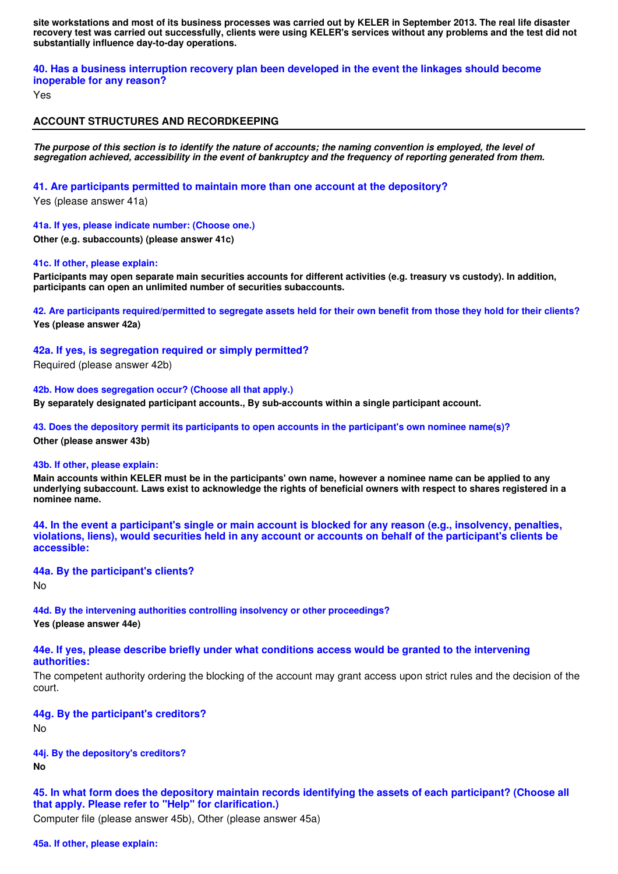**site workstations and most of its business processes was carried out by KELER in September 2013. The real life disaster recovery test was carried out successfully, clients were using KELER's services without any problems and the test did not substantially influence day-to-day operations.** 

**40. Has a business interruption recovery plan been developed in the event the linkages should become inoperable for any reason?**

Yes

## **ACCOUNT STRUCTURES AND RECORDKEEPING**

*The purpose of this section is to identify the nature of accounts; the naming convention is employed, the level of segregation achieved, accessibility in the event of bankruptcy and the frequency of reporting generated from them.*

**41. Are participants permitted to maintain more than one account at the depository?**

Yes (please answer 41a)

**41a. If yes, please indicate number: (Choose one.)**

**Other (e.g. subaccounts) (please answer 41c)** 

### **41c. If other, please explain:**

**Participants may open separate main securities accounts for different activities (e.g. treasury vs custody). In addition, participants can open an unlimited number of securities subaccounts.** 

**42. Are participants required/permitted to segregate assets held for their own benefit from those they hold for their clients? Yes (please answer 42a)** 

**42a. If yes, is segregation required or simply permitted?**

Required (please answer 42b)

**42b. How does segregation occur? (Choose all that apply.)**

**By separately designated participant accounts., By sub-accounts within a single participant account.** 

**43. Does the depository permit its participants to open accounts in the participant's own nominee name(s)? Other (please answer 43b)** 

#### **43b. If other, please explain:**

**Main accounts within KELER must be in the participants' own name, however a nominee name can be applied to any underlying subaccount. Laws exist to acknowledge the rights of beneficial owners with respect to shares registered in a nominee name.** 

**44. In the event a participant's single or main account is blocked for any reason (e.g., insolvency, penalties, violations, liens), would securities held in any account or accounts on behalf of the participant's clients be accessible:** 

#### **44a. By the participant's clients?**

No

**44d. By the intervening authorities controlling insolvency or other proceedings?**

**Yes (please answer 44e)** 

### **44e. If yes, please describe briefly under what conditions access would be granted to the intervening authorities:**

The competent authority ordering the blocking of the account may grant access upon strict rules and the decision of the court.

## **44g. By the participant's creditors?**

No

**44j. By the depository's creditors? No** 

**45. In what form does the depository maintain records identifying the assets of each participant? (Choose all that apply. Please refer to "Help" for clarification.)**

Computer file (please answer 45b), Other (please answer 45a)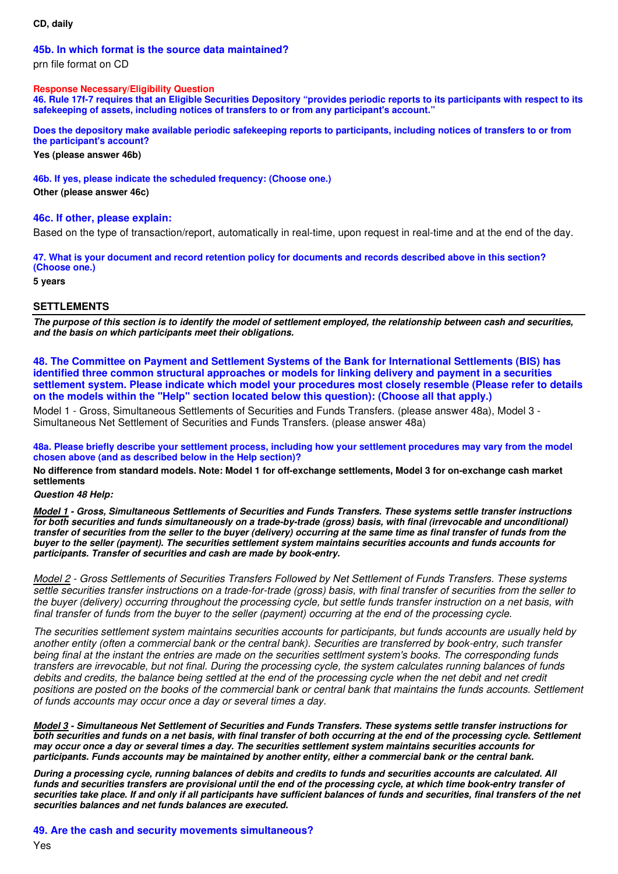## **CD, daily**

### **45b. In which format is the source data maintained?**

prn file format on CD

### **Response Necessary/Eligibility Question**

**46. Rule 17f-7 requires that an Eligible Securities Depository "provides periodic reports to its participants with respect to its safekeeping of assets, including notices of transfers to or from any participant's account."** 

**Does the depository make available periodic safekeeping reports to participants, including notices of transfers to or from the participant's account?**

**Yes (please answer 46b)** 

**46b. If yes, please indicate the scheduled frequency: (Choose one.)**

**Other (please answer 46c)** 

## **46c. If other, please explain:**

Based on the type of transaction/report, automatically in real-time, upon request in real-time and at the end of the day.

**47. What is your document and record retention policy for documents and records described above in this section? (Choose one.)**

**5 years** 

# **SETTLEMENTS**

*The purpose of this section is to identify the model of settlement employed, the relationship between cash and securities, and the basis on which participants meet their obligations.*

**48. The Committee on Payment and Settlement Systems of the Bank for International Settlements (BIS) has identified three common structural approaches or models for linking delivery and payment in a securities settlement system. Please indicate which model your procedures most closely resemble (Please refer to details on the models within the "Help" section located below this question): (Choose all that apply.)**

Model 1 - Gross, Simultaneous Settlements of Securities and Funds Transfers. (please answer 48a), Model 3 - Simultaneous Net Settlement of Securities and Funds Transfers. (please answer 48a)

**48a. Please briefly describe your settlement process, including how your settlement procedures may vary from the model chosen above (and as described below in the Help section)?**

**No difference from standard models. Note: Model 1 for off-exchange settlements, Model 3 for on-exchange cash market settlements** 

### *Question 48 Help:*

*Model 1 - Gross, Simultaneous Settlements of Securities and Funds Transfers. These systems settle transfer instructions for both securities and funds simultaneously on a trade-by-trade (gross) basis, with final (irrevocable and unconditional) transfer of securities from the seller to the buyer (delivery) occurring at the same time as final transfer of funds from the buyer to the seller (payment). The securities settlement system maintains securities accounts and funds accounts for participants. Transfer of securities and cash are made by book-entry.*

Model 2 - Gross Settlements of Securities Transfers Followed by Net Settlement of Funds Transfers. These systems settle securities transfer instructions on a trade-for-trade (gross) basis, with final transfer of securities from the seller to the buyer (delivery) occurring throughout the processing cycle, but settle funds transfer instruction on a net basis, with final transfer of funds from the buyer to the seller (payment) occurring at the end of the processing cycle.

The securities settlement system maintains securities accounts for participants, but funds accounts are usually held by another entity (often a commercial bank or the central bank). Securities are transferred by book-entry, such transfer being final at the instant the entries are made on the securities settlment system's books. The corresponding funds transfers are irrevocable, but not final. During the processing cycle, the system calculates running balances of funds debits and credits, the balance being settled at the end of the processing cycle when the net debit and net credit positions are posted on the books of the commercial bank or central bank that maintains the funds accounts. Settlement of funds accounts may occur once a day or several times a day.

*Model 3 - Simultaneous Net Settlement of Securities and Funds Transfers. These systems settle transfer instructions for both securities and funds on a net basis, with final transfer of both occurring at the end of the processing cycle. Settlement may occur once a day or several times a day. The securities settlement system maintains securities accounts for participants. Funds accounts may be maintained by another entity, either a commercial bank or the central bank.*

*During a processing cycle, running balances of debits and credits to funds and securities accounts are calculated. All funds and securities transfers are provisional until the end of the processing cycle, at which time book-entry transfer of securities take place. If and only if all participants have sufficient balances of funds and securities, final transfers of the net securities balances and net funds balances are executed.*

**49. Are the cash and security movements simultaneous?**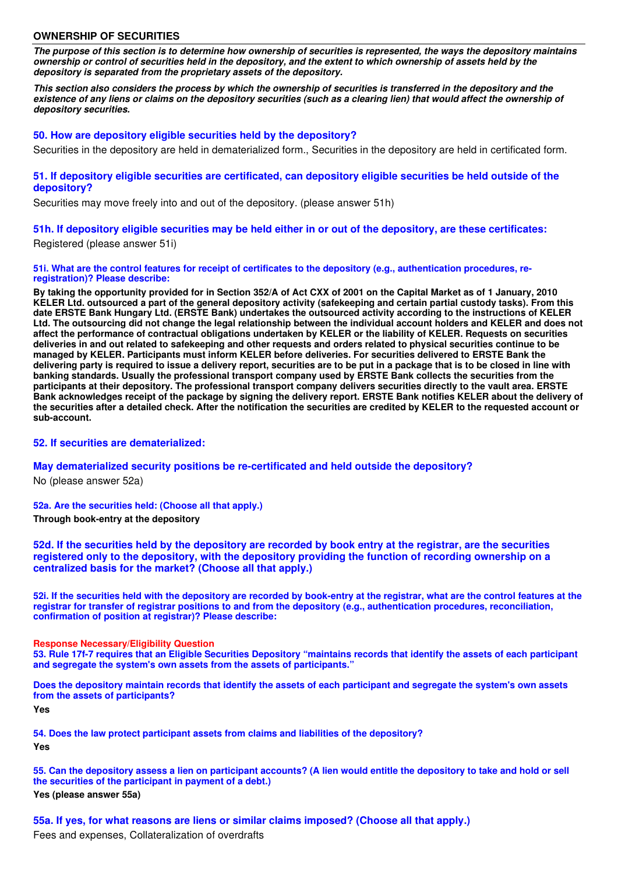### **OWNERSHIP OF SECURITIES**

*The purpose of this section is to determine how ownership of securities is represented, the ways the depository maintains ownership or control of securities held in the depository, and the extent to which ownership of assets held by the depository is separated from the proprietary assets of the depository.*

*This section also considers the process by which the ownership of securities is transferred in the depository and the existence of any liens or claims on the depository securities (such as a clearing lien) that would affect the ownership of depository securities.*

### **50. How are depository eligible securities held by the depository?**

Securities in the depository are held in dematerialized form., Securities in the depository are held in certificated form.

### **51. If depository eligible securities are certificated, can depository eligible securities be held outside of the depository?**

Securities may move freely into and out of the depository. (please answer 51h)

## **51h. If depository eligible securities may be held either in or out of the depository, are these certificates:**

Registered (please answer 51i)

#### **51i. What are the control features for receipt of certificates to the depository (e.g., authentication procedures, reregistration)? Please describe:**

**By taking the opportunity provided for in Section 352/A of Act CXX of 2001 on the Capital Market as of 1 January, 2010 KELER Ltd. outsourced a part of the general depository activity (safekeeping and certain partial custody tasks). From this date ERSTE Bank Hungary Ltd. (ERSTE Bank) undertakes the outsourced activity according to the instructions of KELER Ltd. The outsourcing did not change the legal relationship between the individual account holders and KELER and does not affect the performance of contractual obligations undertaken by KELER or the liability of KELER. Requests on securities deliveries in and out related to safekeeping and other requests and orders related to physical securities continue to be managed by KELER. Participants must inform KELER before deliveries. For securities delivered to ERSTE Bank the delivering party is required to issue a delivery report, securities are to be put in a package that is to be closed in line with banking standards. Usually the professional transport company used by ERSTE Bank collects the securities from the participants at their depository. The professional transport company delivers securities directly to the vault area. ERSTE Bank acknowledges receipt of the package by signing the delivery report. ERSTE Bank notifies KELER about the delivery of the securities after a detailed check. After the notification the securities are credited by KELER to the requested account or sub-account.** 

## **52. If securities are dematerialized:**

#### **May dematerialized security positions be re-certificated and held outside the depository?**

No (please answer 52a)

#### **52a. Are the securities held: (Choose all that apply.)**

**Through book-entry at the depository** 

**52d. If the securities held by the depository are recorded by book entry at the registrar, are the securities registered only to the depository, with the depository providing the function of recording ownership on a centralized basis for the market? (Choose all that apply.)**

**52i. If the securities held with the depository are recorded by book-entry at the registrar, what are the control features at the registrar for transfer of registrar positions to and from the depository (e.g., authentication procedures, reconciliation, confirmation of position at registrar)? Please describe:**

#### **Response Necessary/Eligibility Question**

**53. Rule 17f-7 requires that an Eligible Securities Depository "maintains records that identify the assets of each participant and segregate the system's own assets from the assets of participants."** 

**Does the depository maintain records that identify the assets of each participant and segregate the system's own assets from the assets of participants?**

**Yes** 

**54. Does the law protect participant assets from claims and liabilities of the depository? Yes** 

**55. Can the depository assess a lien on participant accounts? (A lien would entitle the depository to take and hold or sell the securities of the participant in payment of a debt.)**

**Yes (please answer 55a)** 

**55a. If yes, for what reasons are liens or similar claims imposed? (Choose all that apply.)**

Fees and expenses, Collateralization of overdrafts